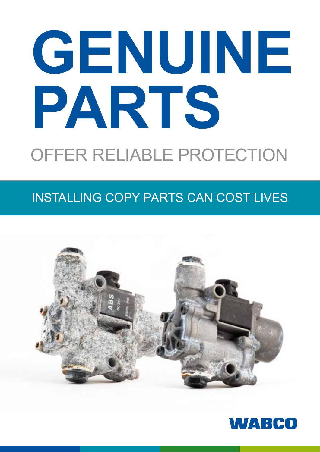# **GENUINE PARTS** OFFER RELIABLE PROTECTION

# Installing COPY PARTS CAN COST LIVES



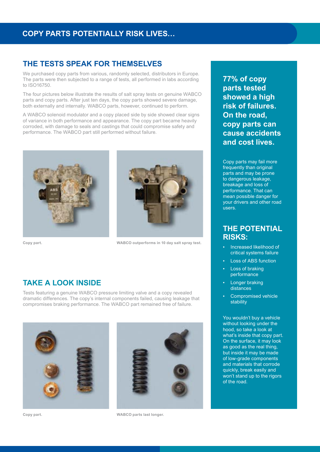# **THE TESTS SPEAK FOR THEMSELVES**

We purchased copy parts from various, randomly selected, distributors in Europe. The parts were then subjected to a range of tests, all performed in labs according to ISO16750.

The four pictures below illustrate the results of salt spray tests on genuine WABCO parts and copy parts. After just ten days, the copy parts showed severe damage, both externally and internally. WABCO parts, however, continued to perform.

A WABCO solenoid modulator and a copy placed side by side showed clear signs of variance in both performance and appearance. The copy part became heavily corroded, with damage to seals and castings that could compromise safety and performance. The WABCO part still performed without failure.





**Copy part. WABCO outperforms in 10 day salt spray test.**

## **TAKE A LOOK INSIDE**

Tests featuring a genuine WABCO pressure limiting valve and a copy revealed dramatic differences. The copy's internal components failed, causing leakage that compromises braking performance. The WABCO part remained free of failure.





**Copy part. WABCO parts last longer.**

**77% of copy parts tested showed a high risk of failures. On the road, copy parts can cause accidents and cost lives.**

Copy parts may fail more frequently than original parts and may be prone to dangerous leakage, breakage and loss of performance. That can mean possible danger for your drivers and other road .<br>users.

#### **The potential risks:**

- Increased likelihood of critical systems failure
- **Loss of ABS function**
- **Loss of braking** performance
- **Longer braking** distances
- Compromised vehicle stability

You wouldn't buy a vehicle without looking under the hood, so take a look at what's inside that copy part. On the surface, it may look as good as the real thing, but inside it may be made of low-grade components and materials that corrode quickly, break easily and won't stand up to the rigors of the road.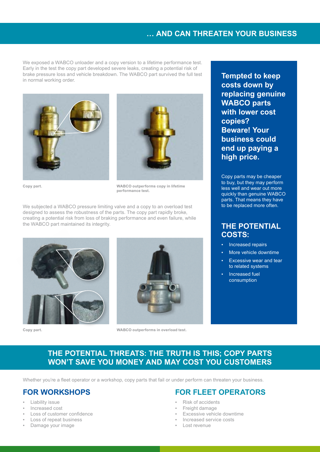### **… and can threaten your business**

We exposed a WABCO unloader and a copy version to a lifetime performance test. Early in the test the copy part developed severe leaks, creating a potential risk of brake pressure loss and vehicle breakdown. The WABCO part survived the full test in normal working order. **Tempted to keep** 





**Copy part.**

**WABCO outperforms copy in lifetime performance test.**

We subjected a WABCO pressure limiting valve and a copy to an overload test designed to assess the robustness of the parts. The copy part rapidly broke, creating a potential risk from loss of braking performance and even failure, while the WABCO part maintained its integrity.



**Copy part.**



**WABCO outperforms in overload test.**

**costs down by replacing genuine WABCO parts with lower cost copies? Beware! Your business could end up paying a high price.**

Copy parts may be cheaper to buy, but they may perform less well and wear out more quickly than genuine WABCO parts. That means they have to be replaced more often.

#### **The potential COSTs:**

- Increased repairs
- More vehicle downtime
- Excessive wear and tear to related systems
- Increased fuel consumption

#### **The potential threats: The truth is this; copy parts won't save you money and may cost you customers**

Whether you're a fleet operator or a workshop, copy parts that fail or under perform can threaten your business.

#### **For workshops**

- **Liability issue**
- Increased cost
- Loss of customer confidence
- Loss of repeat business
- Damage your image

#### **For fleet operators**

- Risk of accidents
- Freight damage
- **Excessive vehicle downtime**
- Increased service costs
- Lost revenue